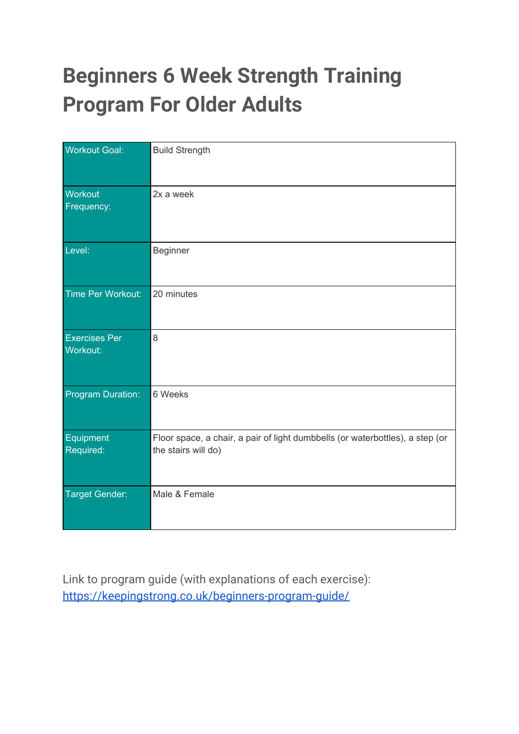# **Beginners 6 Week Strength Training Program For Older Adults**

| <b>Workout Goal:</b>             | <b>Build Strength</b>                                                                                |
|----------------------------------|------------------------------------------------------------------------------------------------------|
| Workout<br>Frequency:            | 2x a week                                                                                            |
| Level:                           | Beginner                                                                                             |
| Time Per Workout:                | 20 minutes                                                                                           |
| <b>Exercises Per</b><br>Workout: | 8                                                                                                    |
| Program Duration:                | 6 Weeks                                                                                              |
| Equipment<br>Required:           | Floor space, a chair, a pair of light dumbbells (or waterbottles), a step (or<br>the stairs will do) |
| <b>Target Gender:</b>            | Male & Female                                                                                        |

Link to program guide (with explanations of each exercise): <https://keepingstrong.co.uk/beginners-program-guide/>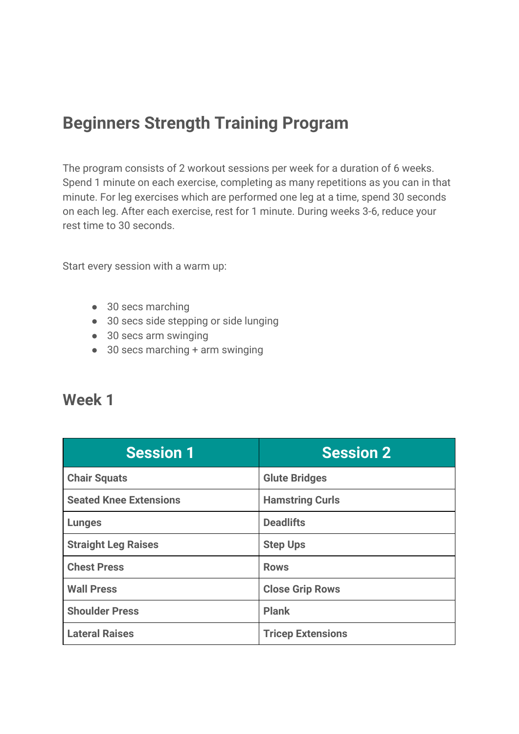# **Beginners Strength Training Program**

The program consists of 2 workout sessions per week for a duration of 6 weeks. Spend 1 minute on each exercise, completing as many repetitions as you can in that minute. For leg exercises which are performed one leg at a time, spend 30 seconds on each leg. After each exercise, rest for 1 minute. During weeks 3-6, reduce your rest time to 30 seconds.

Start every session with a warm up:

- 30 secs marching
- 30 secs side stepping or side lunging
- 30 secs arm swinging
- $\bullet$  30 secs marching + arm swinging

#### **Week 1**

| <b>Session 1</b>              | <b>Session 2</b>         |
|-------------------------------|--------------------------|
| <b>Chair Squats</b>           | <b>Glute Bridges</b>     |
| <b>Seated Knee Extensions</b> | <b>Hamstring Curls</b>   |
| <b>Lunges</b>                 | <b>Deadlifts</b>         |
| <b>Straight Leg Raises</b>    | <b>Step Ups</b>          |
| <b>Chest Press</b>            | <b>Rows</b>              |
| <b>Wall Press</b>             | <b>Close Grip Rows</b>   |
| <b>Shoulder Press</b>         | <b>Plank</b>             |
| <b>Lateral Raises</b>         | <b>Tricep Extensions</b> |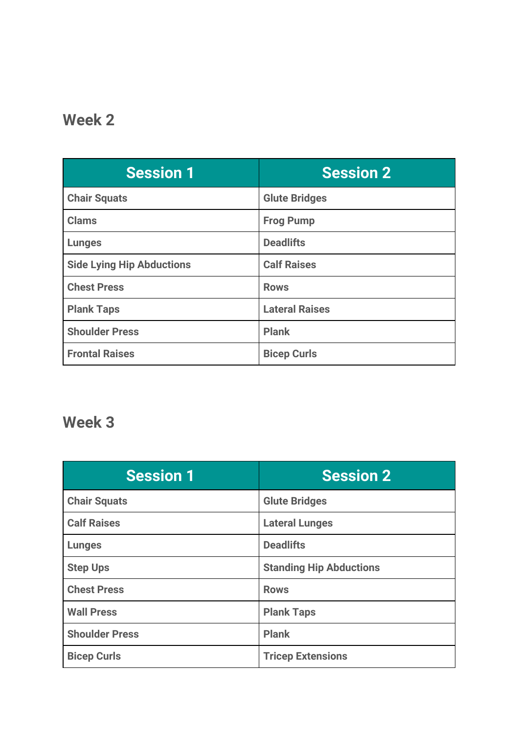### **Week 2**

| <b>Session 1</b>                 | <b>Session 2</b>      |
|----------------------------------|-----------------------|
| <b>Chair Squats</b>              | <b>Glute Bridges</b>  |
| <b>Clams</b>                     | <b>Frog Pump</b>      |
| <b>Lunges</b>                    | <b>Deadlifts</b>      |
| <b>Side Lying Hip Abductions</b> | <b>Calf Raises</b>    |
| <b>Chest Press</b>               | <b>Rows</b>           |
| <b>Plank Taps</b>                | <b>Lateral Raises</b> |
| <b>Shoulder Press</b>            | <b>Plank</b>          |
| <b>Frontal Raises</b>            | <b>Bicep Curls</b>    |

#### **Week 3**

| <b>Session 1</b>      | <b>Session 2</b>               |
|-----------------------|--------------------------------|
| <b>Chair Squats</b>   | <b>Glute Bridges</b>           |
| <b>Calf Raises</b>    | <b>Lateral Lunges</b>          |
| <b>Lunges</b>         | <b>Deadlifts</b>               |
| <b>Step Ups</b>       | <b>Standing Hip Abductions</b> |
| <b>Chest Press</b>    | <b>Rows</b>                    |
| <b>Wall Press</b>     | <b>Plank Taps</b>              |
| <b>Shoulder Press</b> | <b>Plank</b>                   |
| <b>Bicep Curls</b>    | <b>Tricep Extensions</b>       |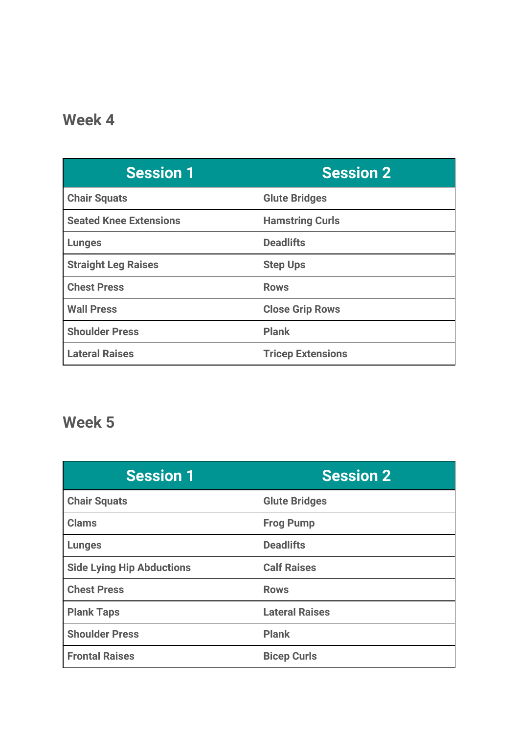### **Week 4**

| <b>Session 1</b>              | <b>Session 2</b>         |
|-------------------------------|--------------------------|
| <b>Chair Squats</b>           | <b>Glute Bridges</b>     |
| <b>Seated Knee Extensions</b> | <b>Hamstring Curls</b>   |
| <b>Lunges</b>                 | <b>Deadlifts</b>         |
| <b>Straight Leg Raises</b>    | <b>Step Ups</b>          |
| <b>Chest Press</b>            | <b>Rows</b>              |
| <b>Wall Press</b>             | <b>Close Grip Rows</b>   |
| <b>Shoulder Press</b>         | <b>Plank</b>             |
| <b>Lateral Raises</b>         | <b>Tricep Extensions</b> |

## **Week 5**

| <b>Session 1</b>                 | <b>Session 2</b>      |
|----------------------------------|-----------------------|
| <b>Chair Squats</b>              | <b>Glute Bridges</b>  |
| <b>Clams</b>                     | <b>Frog Pump</b>      |
| <b>Lunges</b>                    | <b>Deadlifts</b>      |
| <b>Side Lying Hip Abductions</b> | <b>Calf Raises</b>    |
| <b>Chest Press</b>               | <b>Rows</b>           |
| <b>Plank Taps</b>                | <b>Lateral Raises</b> |
| <b>Shoulder Press</b>            | <b>Plank</b>          |
| <b>Frontal Raises</b>            | <b>Bicep Curls</b>    |